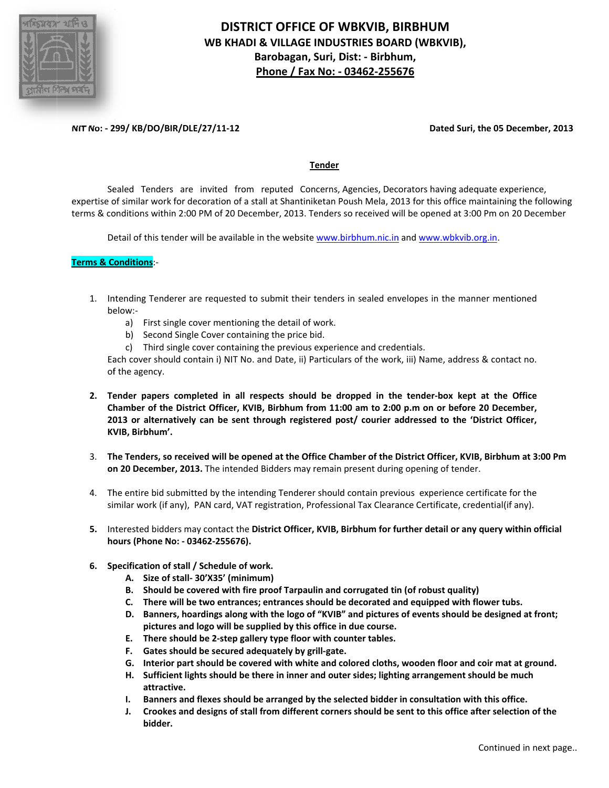

## DISTRICT OFFICE OF WBKVIB, BIRBHUM WB KHADI & VILLAGE INDUSTRIES BOARD (WBKVIB), Barobagan, Suri, Dist: - Birbhum, Phone / Fax No: - 03462-255676

NIT No: - 299/ KB/DO/BIR/DLE/27/11-12

Dated Suri, the 05 December, 2013

## **Tender**

Sealed Tenders are invited from reputed Concerns, Agencies, Decorators having adequate experience, expertise of similar work for decoration of a stall at Shantiniketan Poush Mela, 2013 for this office maintaining the following terms & conditions within 2:00 PM of 20 December, 2013. Tenders so received will be opened at 3:00 Pm on 20 December

Detail of this tender will be available in the website www.birbhum.nic.in and www.wbkvib.org.in.

## Terms & Conditions:-

- 1. Intending Tenderer are requested to submit their tenders in sealed envelopes in the manner mentioned below:
	- a) First single cover mentioning the detail of work.
	- b) Second Single Cover containing the price bid.
	- c) Third single cover containing the previous experience and credentials.

Each cover should contain i) NIT No. and Date, ii) Particulars of the work, iii) Name, address & contact no. of the agency.

- 2. Tender papers completed in all respects should be dropped in the tender-box kept at the Office Chamber of the District Officer, KVIB, Birbhum from 11:00 am to 2:00 p.m on or before 20 December, 2013 or alternatively can be sent through registered post/ courier addressed to the 'District Officer, KVIB, Birbhum'.
- 3. The Tenders, so received will be opened at the Office Chamber of the District Officer, KVIB, Birbhum at 3:00 Pm on 20 December, 2013. The intended Bidders may remain present during opening of tender.
- 4. The entire bid submitted by the intending Tenderer should contain previous experience certificate for the similar work (if any), PAN card, VAT registration, Professional Tax Clearance Certificate, credential(if any).
- 5. Interested bidders may contact the District Officer, KVIB, Birbhum for further detail or any query within official hours (Phone No: - 03462-255676).
- 6. Specification of stall / Schedule of work.
	- A. Size of stall- 30'X35' (minimum)
	- B. Should be covered with fire proof Tarpaulin and corrugated tin (of robust quality)
	- C. There will be two entrances; entrances should be decorated and equipped with flower tubs.
	- D. Banners, hoardings along with the logo of "KVIB" and pictures of events should be designed at front; pictures and logo will be supplied by this office in due course.
	- E. There should be 2-step gallery type floor with counter tables.
	- F. Gates should be secured adequately by grill-gate.
	- G. Interior part should be covered with white and colored cloths, wooden floor and coir mat at ground.
	- H. Sufficient lights should be there in inner and outer sides; lighting arrangement should be much attractive.
	- I. Banners and flexes should be arranged by the selected bidder in consultation with this office.
	- J. Crookes and designs of stall from different corners should be sent to this office after selection of the bidder.